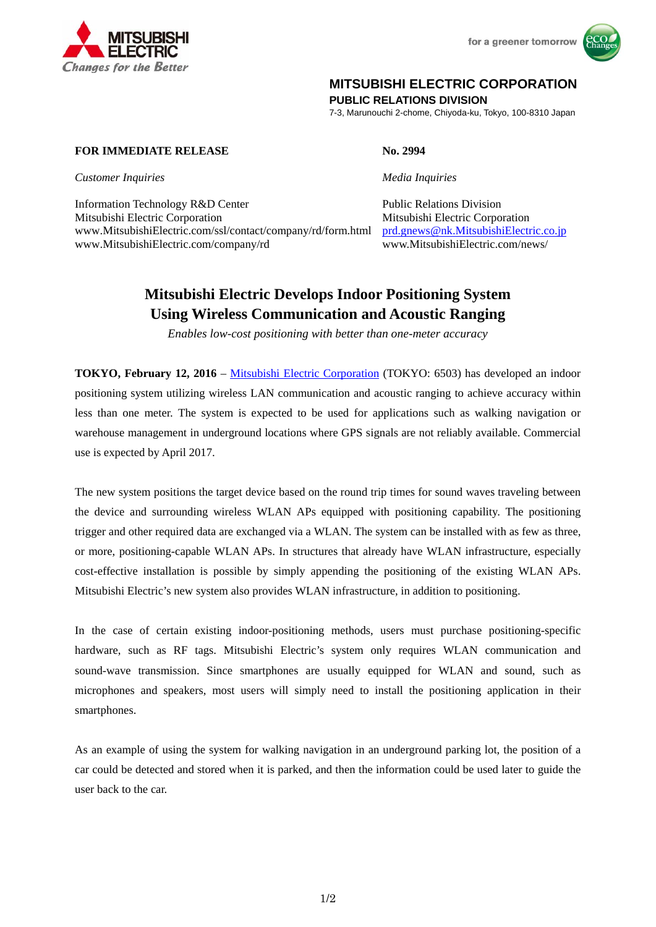

for a greener tomorrow



## **MITSUBISHI ELECTRIC CORPORATION**

**PUBLIC RELATIONS DIVISION** 

7-3, Marunouchi 2-chome, Chiyoda-ku, Tokyo, 100-8310 Japan

### **FOR IMMEDIATE RELEASE No. 2994**

*Customer Inquiries Media Inquiries*

Information Technology R&D Center Public Relations Division Mitsubishi Electric Corporation Mitsubishi Electric Corporation www.MitsubishiElectric.com/ssl/contact/company/rd/form.html prd.gnews@nk.MitsubishiElectric.co.jp www.MitsubishiElectric.com/company/rd www.MitsubishiElectric.com/news/

# **Mitsubishi Electric Develops Indoor Positioning System Using Wireless Communication and Acoustic Ranging**

*Enables low-cost positioning with better than one-meter accuracy* 

**TOKYO, February 12, 2016** – Mitsubishi Electric Corporation (TOKYO: 6503) has developed an indoor positioning system utilizing wireless LAN communication and acoustic ranging to achieve accuracy within less than one meter. The system is expected to be used for applications such as walking navigation or warehouse management in underground locations where GPS signals are not reliably available. Commercial use is expected by April 2017.

The new system positions the target device based on the round trip times for sound waves traveling between the device and surrounding wireless WLAN APs equipped with positioning capability. The positioning trigger and other required data are exchanged via a WLAN. The system can be installed with as few as three, or more, positioning-capable WLAN APs. In structures that already have WLAN infrastructure, especially cost-effective installation is possible by simply appending the positioning of the existing WLAN APs. Mitsubishi Electric's new system also provides WLAN infrastructure, in addition to positioning.

In the case of certain existing indoor-positioning methods, users must purchase positioning-specific hardware, such as RF tags. Mitsubishi Electric's system only requires WLAN communication and sound-wave transmission. Since smartphones are usually equipped for WLAN and sound, such as microphones and speakers, most users will simply need to install the positioning application in their smartphones.

As an example of using the system for walking navigation in an underground parking lot, the position of a car could be detected and stored when it is parked, and then the information could be used later to guide the user back to the car.